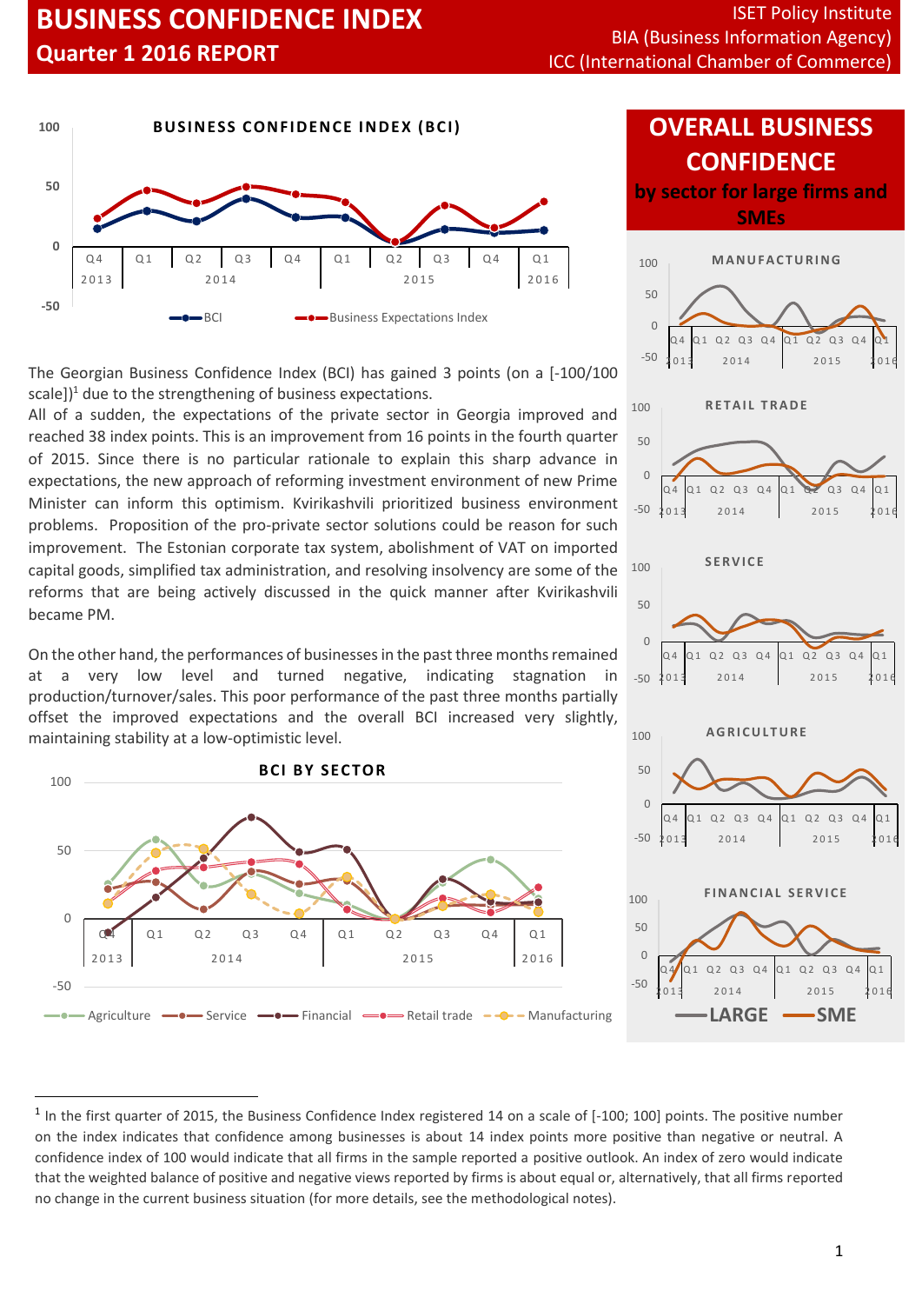

The Georgian Business Confidence Index (BCI) has gained 3 points (on a [-100/100 scale] $)^1$  due to the strengthening of business expectations.

All of a sudden, the expectations of the private sector in Georgia improved and reached 38 index points. This is an improvement from 16 points in the fourth quarter of 2015. Since there is no particular rationale to explain this sharp advance in expectations, the new approach of reforming investment environment of new Prime Minister can inform this optimism. Kvirikashvili prioritized business environment problems. Proposition of the pro-private sector solutions could be reason for such improvement. The Estonian corporate tax system, abolishment of VAT on imported capital goods, simplified tax administration, and resolving insolvency are some of the reforms that are being actively discussed in the quick manner after Kvirikashvili became PM.

On the other hand, the performances of businesses in the past three months remained at a very low level and turned negative, indicating stagnation production/turnover/sales. This poor performance of the past three months partially offset the improved expectations and the overall BCI increased very slightly, maintaining stability at a low-optimistic level.



 $\overline{a}$ 

# **OVERALL BUSINESS CONFIDENCE**

**by sector for large firms and SMEs**



<sup>&</sup>lt;sup>1</sup> In the first quarter of 2015, the Business Confidence Index registered 14 on a scale of [-100; 100] points. The positive number on the index indicates that confidence among businesses is about 14 index points more positive than negative or neutral. A confidence index of 100 would indicate that all firms in the sample reported a positive outlook. An index of zero would indicate that the weighted balance of positive and negative views reported by firms is about equal or, alternatively, that all firms reported no change in the current business situation (for more details, see the methodological notes).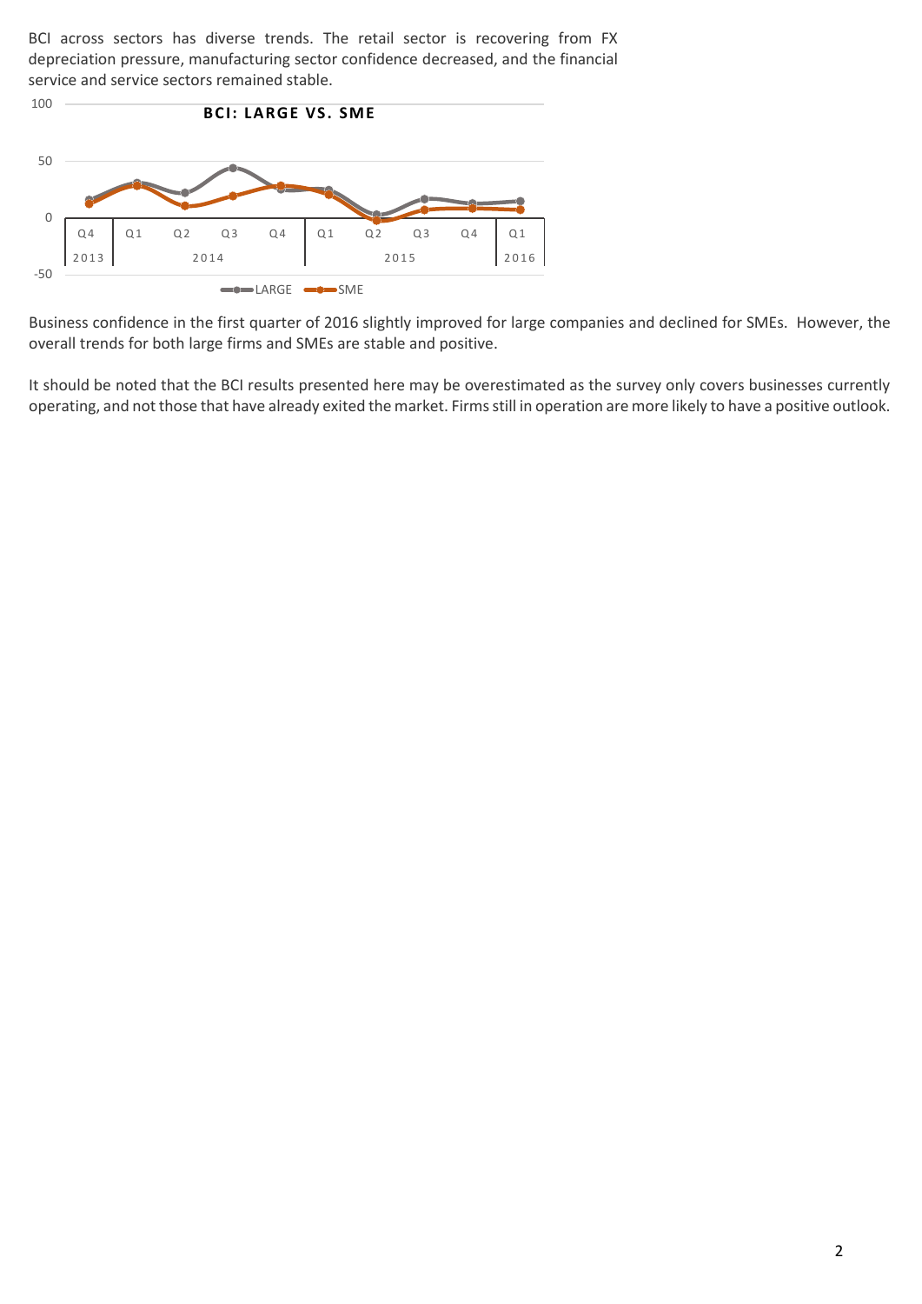BCI across sectors has diverse trends. The retail sector is recovering from FX depreciation pressure, manufacturing sector confidence decreased, and the financial service and service sectors remained stable.



Business confidence in the first quarter of 2016 slightly improved for large companies and declined for SMEs. However, the overall trends for both large firms and SMEs are stable and positive.

It should be noted that the BCI results presented here may be overestimated as the survey only covers businesses currently operating, and not those that have already exited the market. Firms still in operation are more likely to have a positive outlook.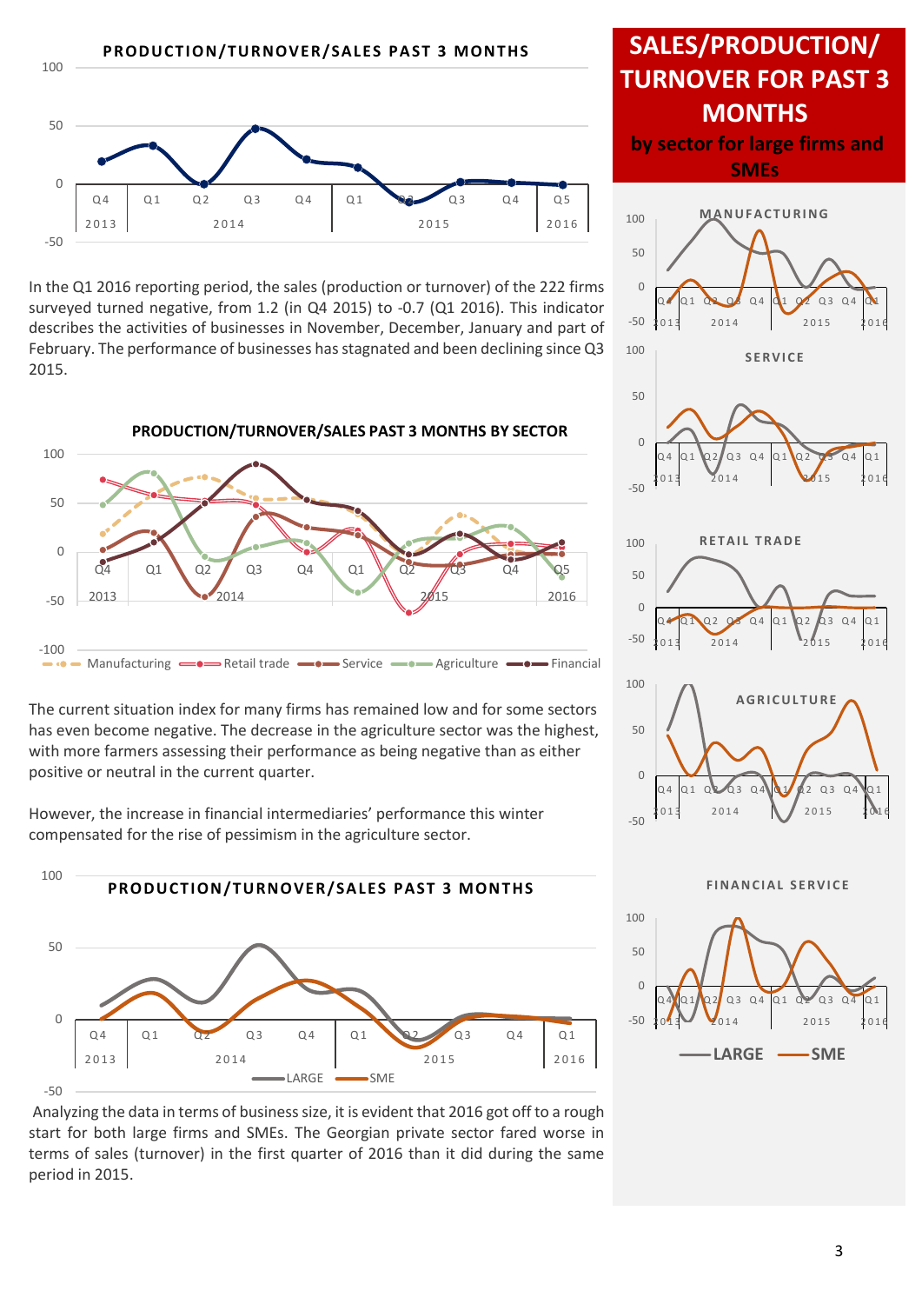

In the Q1 2016 reporting period, the sales (production or turnover) of the 222 firms surveyed turned negative, from 1.2 (in Q4 2015) to -0.7 (Q1 2016). This indicator describes the activities of businesses in November, December, January and part of February. The performance of businesses has stagnated and been declining since Q3 2015.



### The current situation index for many firms has remained low and for some sectors has even become negative. The decrease in the agriculture sector was the highest, with more farmers assessing their performance as being negative than as either positive or neutral in the current quarter.

However, the increase in financial intermediaries' performance this winter compensated for the rise of pessimism in the agriculture sector.

100





## **SALES/PRODUCTION/ TURNOVER FOR PAST 3 MONTHS by sector for large firms and SMEs** -50 0 50 100  $Q$  4  $Q$  1  $Q$   $Q$   $Q$  4  $Q$  1  $Q$   $Q$  2  $Q$  3  $Q$  4  $Q$  1 2013 2014 2015 2016 **M A N U F A C T U R I N G** -50 0 50 100 Q 4 Q 1 Q 2 Q 3 Q 4 Q 1 Q 2 Q 3 Q 4 Q 1 2013 2014 2015 2016 **S E R V I C E** -50  $\Omega$  $50$ 100 Q 4 Q 1 Q 2 Q 3 Q 4 Q 1 Q 2 Q 3 Q 4 Q 1 2013 2014 2015 2016 **RETAIL TRADE** 100 **A G R I C U L T U R E**



**FINANCIAL SERVICE** 

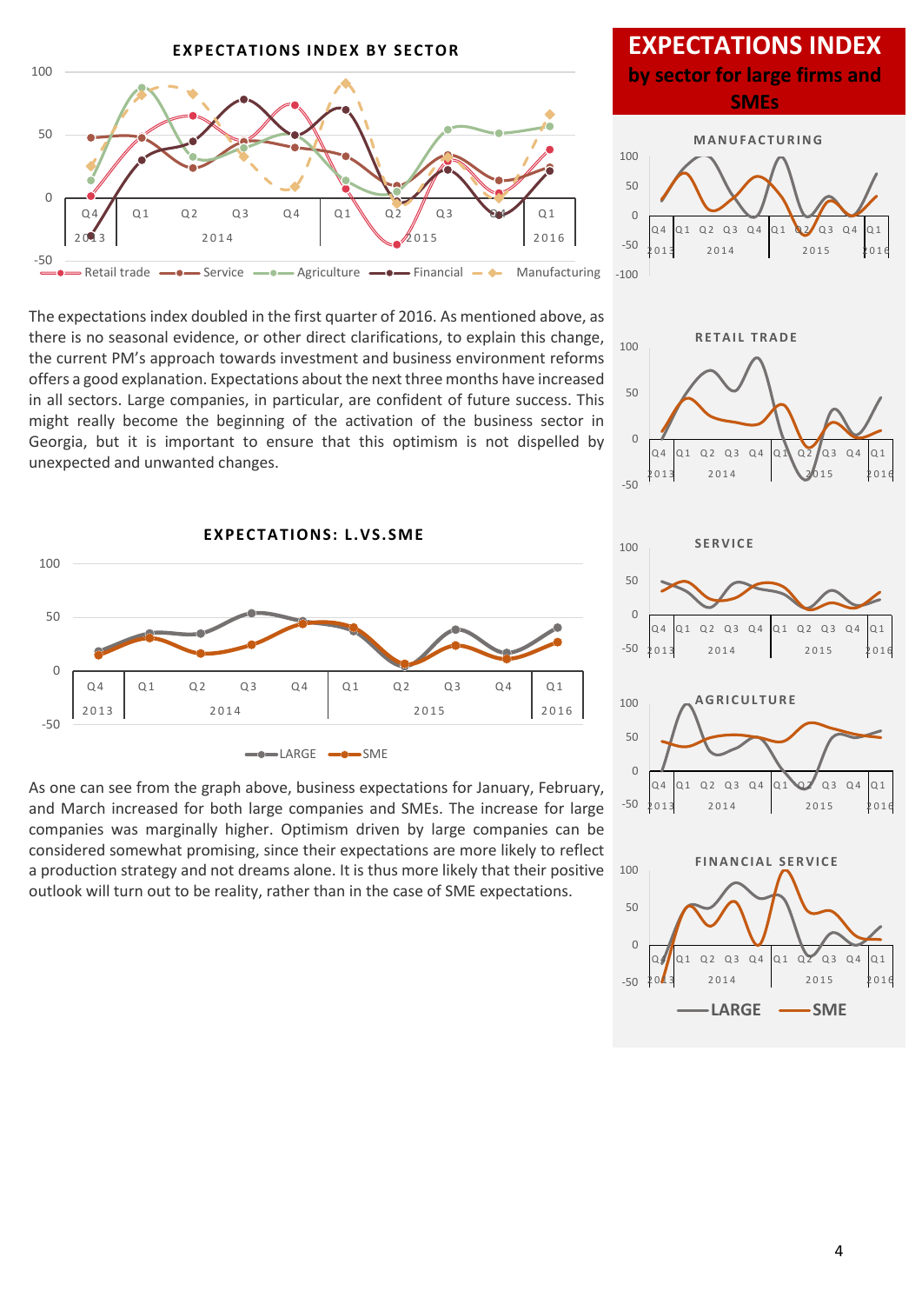

## **EXPECTATIONS INDEX by sector for large firms and SMEs**



The expectations index doubled in the first quarter of 2016. As mentioned above, as there is no seasonal evidence, or other direct clarifications, to explain this change, the current PM's approach towards investment and business environment reforms offers a good explanation. Expectations about the next three months have increased in all sectors. Large companies, in particular, are confident of future success. This might really become the beginning of the activation of the business sector in Georgia, but it is important to ensure that this optimism is not dispelled by unexpected and unwanted changes.



As one can see from the graph above, business expectations for January, February, and March increased for both large companies and SMEs. The increase for large companies was marginally higher. Optimism driven by large companies can be considered somewhat promising, since their expectations are more likely to reflect a production strategy and not dreams alone. It is thus more likely that their positive outlook will turn out to be reality, rather than in the case of SME expectations.





 $2014$  2015 2016

LARGE **-SME** 

-50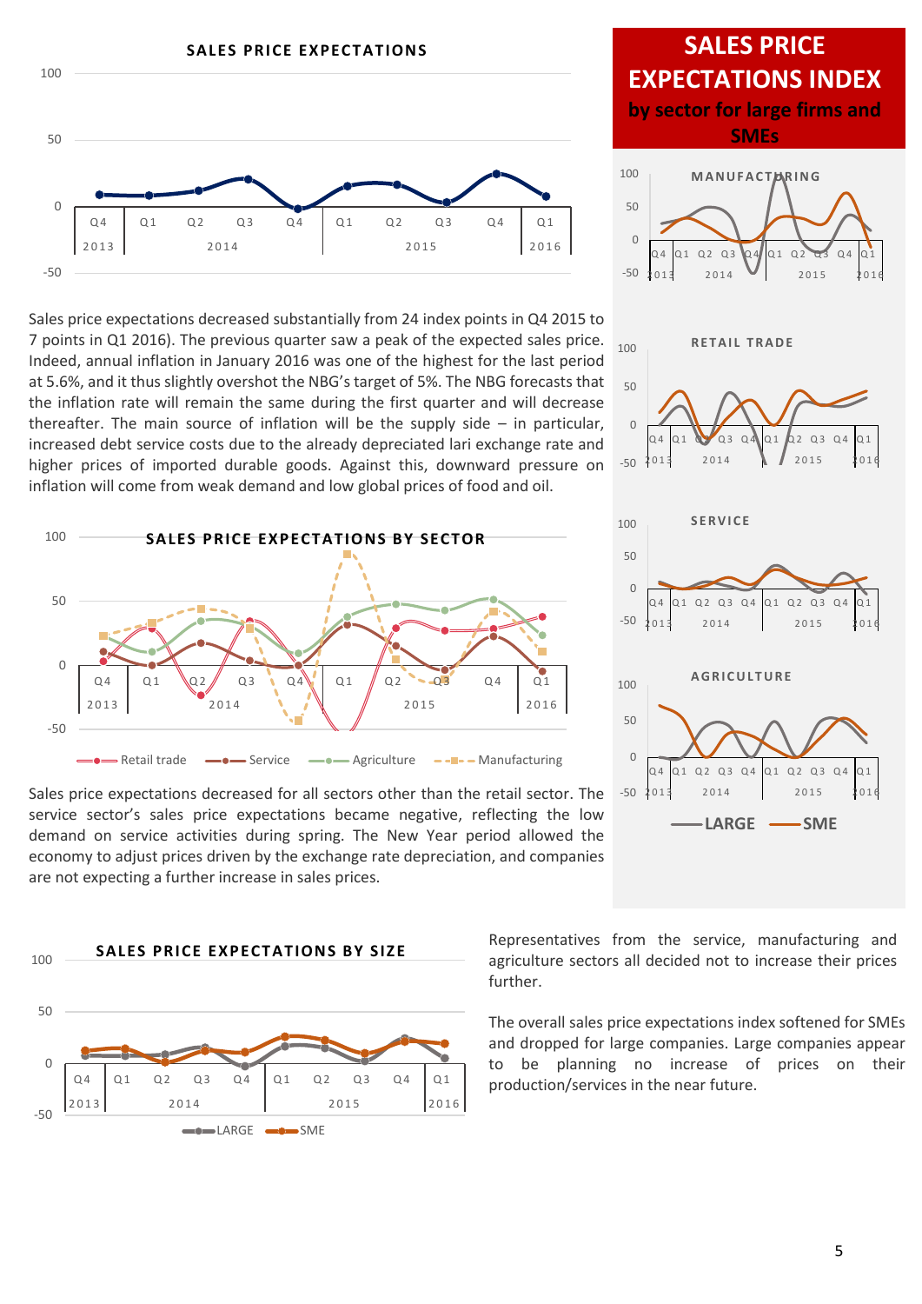

Sales price expectations decreased substantially from 24 index points in Q4 2015 to 7 points in Q1 2016). The previous quarter saw a peak of the expected sales price. Indeed, annual inflation in January 2016 was one of the highest for the last period at 5.6%, and it thus slightly overshot the NBG's target of 5%. The NBG forecasts that the inflation rate will remain the same during the first quarter and will decrease thereafter. The main source of inflation will be the supply side  $-$  in particular, increased debt service costs due to the already depreciated lari exchange rate and higher prices of imported durable goods. Against this, downward pressure on inflation will come from weak demand and low global prices of food and oil.



Sales price expectations decreased for all sectors other than the retail sector. The service sector's sales price expectations became negative, reflecting the low demand on service activities during spring. The New Year period allowed the economy to adjust prices driven by the exchange rate depreciation, and companies are not expecting a further increase in sales prices.



## **SALES PRICE EXPECTATIONS INDEX by sector for large firms and SMEs**







Representatives from the service, manufacturing and agriculture sectors all decided not to increase their prices further.

The overall sales price expectations index softened for SMEs and dropped for large companies. Large companies appear to be planning no increase of prices on their production/services in the near future.

5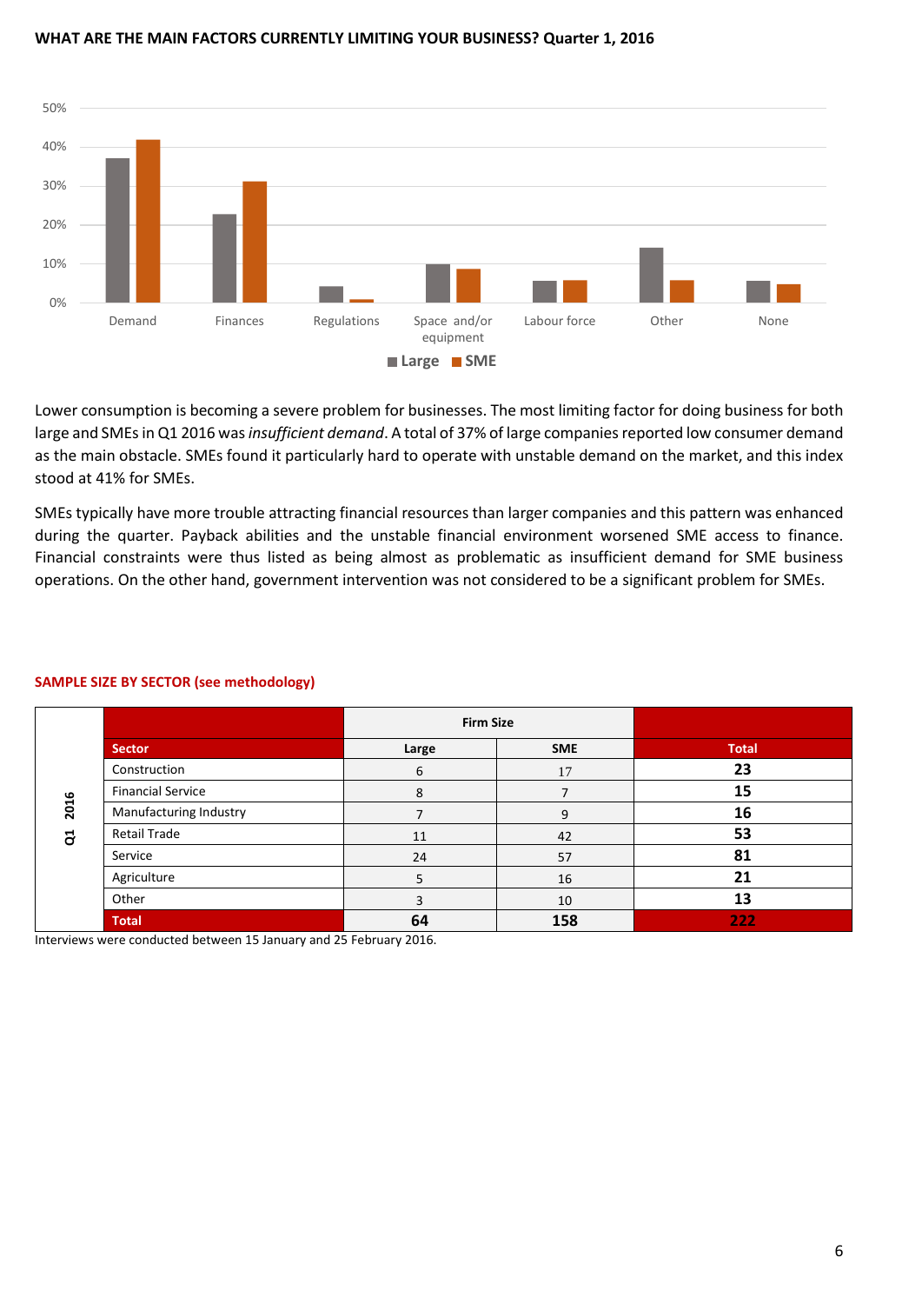#### **WHAT ARE THE MAIN FACTORS CURRENTLY LIMITING YOUR BUSINESS? Quarter 1, 2016**



Lower consumption is becoming a severe problem for businesses. The most limiting factor for doing business for both large and SMEs in Q1 2016 was *insufficient demand*. A total of 37% of large companies reported low consumer demand as the main obstacle. SMEs found it particularly hard to operate with unstable demand on the market, and this index stood at 41% for SMEs.

SMEs typically have more trouble attracting financial resources than larger companies and this pattern was enhanced during the quarter. Payback abilities and the unstable financial environment worsened SME access to finance. Financial constraints were thus listed as being almost as problematic as insufficient demand for SME business operations. On the other hand, government intervention was not considered to be a significant problem for SMEs.

|                          | <b>Firm Size</b> |            |              |
|--------------------------|------------------|------------|--------------|
| <b>Sector</b>            | Large            | <b>SME</b> | <b>Total</b> |
| Construction             | 6                | 17         | 23           |
| <b>Financial Service</b> | 8                |            | 15           |
| Manufacturing Industry   |                  | 9          | 16           |
| <b>Retail Trade</b>      | 11               | 42         | 53           |
| Service                  | 24               | 57         | 81           |
| Agriculture              | ר                | 16         | 21           |
| Other                    | ર                | 10         | 13           |
| <b>Total</b>             | 64               | 158        | 222          |

### **SAMPLE SIZE BY SECTOR (see methodology)**

Interviews were conducted between 15 January and 25 February 2016.